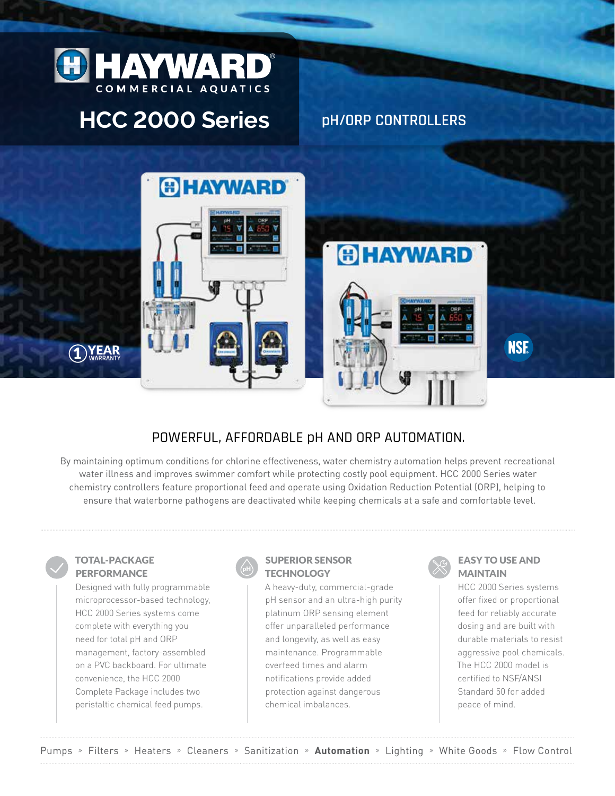

# **HCC 2000 Series**

**pH/ORP CONTROLLERS**





## POWERFUL, AFFORDABLE pH AND ORP AUTOMATION.

By maintaining optimum conditions for chlorine effectiveness, water chemistry automation helps prevent recreational water illness and improves swimmer comfort while protecting costly pool equipment. HCC 2000 Series water chemistry controllers feature proportional feed and operate using Oxidation Reduction Potential (ORP), helping to ensure that waterborne pathogens are deactivated while keeping chemicals at a safe and comfortable level.

#### TOTAL-PACKAGE PERFORMANCE

1 **WARRANTY**

Designed with fully programmable microprocessor-based technology, HCC 2000 Series systems come complete with everything you need for total pH and ORP management, factory-assembled on a PVC backboard. For ultimate convenience, the HCC 2000 Complete Package includes two peristaltic chemical feed pumps.



## SUPERIOR SENSOR **TECHNOLOGY**

A heavy-duty, commercial-grade pH sensor and an ultra-high purity platinum ORP sensing element offer unparalleled performance and longevity, as well as easy maintenance. Programmable overfeed times and alarm notifications provide added protection against dangerous chemical imbalances.



#### EASY TO USE AND MAINTAIN

HCC 2000 Series systems offer fixed or proportional feed for reliably accurate dosing and are built with durable materials to resist aggressive pool chemicals. The HCC 2000 model is certified to NSF/ANSI Standard 50 for added peace of mind.